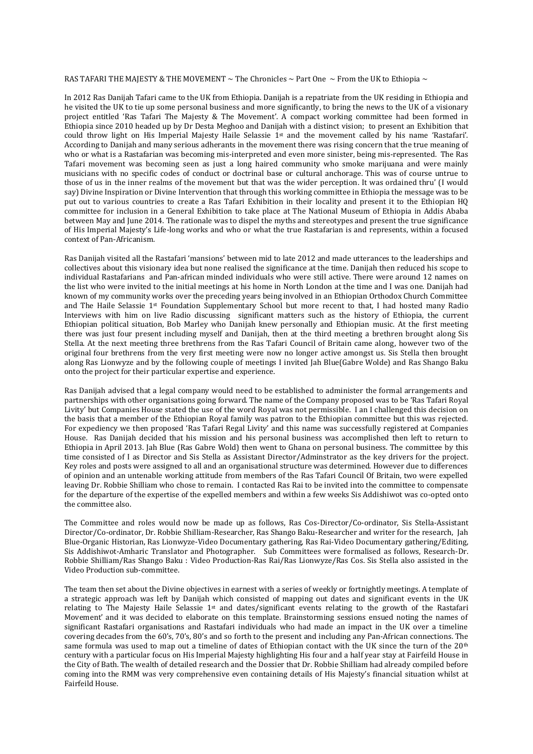#### RAS TAFARI THE MAJESTY & THE MOVEMENT  $\sim$  The Chronicles  $\sim$  Part One  $\sim$  From the UK to Ethiopia  $\sim$

In 2012 Ras Danijah Tafari came to the UK from Ethiopia. Danijah is a repatriate from the UK residing in Ethiopia and he visited the UK to tie up some personal business and more significantly, to bring the news to the UK of a visionary project entitled 'Ras Tafari The Majesty & The Movement'. A compact working committee had been formed in Ethiopia since 2010 headed up by Dr Desta Meghoo and Danijah with a distinct vision; to present an Exhibition that could throw light on His Imperial Majesty Haile Selassie 1st and the movement called by his name 'Rastafari'. According to Danijah and many serious adherants in the movement there was rising concern that the true meaning of who or what is a Rastafarian was becoming mis-interpreted and even more sinister, being mis-represented. The Ras Tafari movement was becoming seen as just a long haired community who smoke marijuana and were mainly musicians with no specific codes of conduct or doctrinal base or cultural anchorage. This was of course untrue to those of us in the inner realms of the movement but that was the wider perception. It was ordained thru' (I would say) Divine Inspiration or Divine Intervention that through this working committee in Ethiopia the message was to be put out to various countries to create a Ras Tafari Exhibition in their locality and present it to the Ethiopian HQ committee for inclusion in a General Exhibition to take place at The National Museum of Ethiopia in Addis Ababa between May and June 2014. The rationale was to dispel the myths and stereotypes and present the true significance of His Imperial Majesty's Life-long works and who or what the true Rastafarian is and represents, within a focused context of Pan-Africanism.

Ras Danijah visited all the Rastafari 'mansions' between mid to late 2012 and made utterances to the leaderships and collectives about this visionary idea but none realised the significance at the time. Danijah then reduced his scope to individual Rastafarians and Pan-african minded individuals who were still active. There were around 12 names on the list who were invited to the initial meetings at his home in North London at the time and I was one. Danijah had known of my community works over the preceding years being involved in an Ethiopian Orthodox Church Committee and The Haile Selassie 1st Foundation Supplementary School but more recent to that, I had hosted many Radio Interviews with him on live Radio discussing significant matters such as the history of Ethiopia, the current Ethiopian political situation, Bob Marley who Danijah knew personally and Ethiopian music. At the first meeting there was just four present including myself and Danijah, then at the third meeting a brethren brought along Sis Stella. At the next meeting three brethrens from the Ras Tafari Council of Britain came along, however two of the original four brethrens from the very first meeting were now no longer active amongst us. Sis Stella then brought along Ras Lionwyze and by the following couple of meetings I invited Jah Blue(Gabre Wolde) and Ras Shango Baku onto the project for their particular expertise and experience.

Ras Danijah advised that a legal company would need to be established to administer the formal arrangements and partnerships with other organisations going forward. The name of the Company proposed was to be 'Ras Tafari Royal Livity' but Companies House stated the use of the word Royal was not permissible. I an I challenged this decision on the basis that a member of the Ethiopian Royal family was patron to the Ethiopian committee but this was rejected. For expediency we then proposed 'Ras Tafari Regal Livity' and this name was successfully registered at Companies House. Ras Danijah decided that his mission and his personal business was accomplished then left to return to Ethiopia in April 2013. Jah Blue (Ras Gabre Wold) then went to Ghana on personal business. The committee by this time consisted of I as Director and Sis Stella as Assistant Director/Adminstrator as the key drivers for the project. Key roles and posts were assigned to all and an organisational structure was determined. However due to differences of opinion and an untenable working attitude from members of the Ras Tafari Council Of Britain, two were expelled leaving Dr. Robbie Shilliam who chose to remain. I contacted Ras Rai to be invited into the committee to compensate for the departure of the expertise of the expelled members and within a few weeks Sis Addishiwot was co-opted onto the committee also.

The Committee and roles would now be made up as follows, Ras Cos-Director/Co-ordinator, Sis Stella-Assistant Director/Co-ordinator, Dr. Robbie Shilliam-Researcher, Ras Shango Baku-Researcher and writer for the research, Jah Blue-Organic Historian, Ras Lionwyze-Video Documentary gathering, Ras Rai-Video Documentary gathering/Editing, Sis Addishiwot-Amharic Translator and Photographer. Sub Committees were formalised as follows, Research-Dr. Robbie Shilliam/Ras Shango Baku : Video Production-Ras Rai/Ras Lionwyze/Ras Cos. Sis Stella also assisted in the Video Production sub-committee.

The team then set about the Divine objectives in earnest with a series of weekly or fortnightly meetings. A template of a strategic approach was left by Danijah which consisted of mapping out dates and significant events in the UK relating to The Majesty Haile Selassie 1st and dates/significant events relating to the growth of the Rastafari Movement' and it was decided to elaborate on this template. Brainstorming sessions ensued noting the names of significant Rastafari organisations and Rastafari individuals who had made an impact in the UK over a timeline covering decades from the 60's, 70's, 80's and so forth to the present and including any Pan-African connections. The same formula was used to map out a timeline of dates of Ethiopian contact with the UK since the turn of the  $20<sup>th</sup>$ century with a particular focus on His Imperial Majesty highlighting His four and a half year stay at Fairfeild House in the City of Bath. The wealth of detailed research and the Dossier that Dr. Robbie Shilliam had already compiled before coming into the RMM was very comprehensive even containing details of His Majesty's financial situation whilst at Fairfeild House.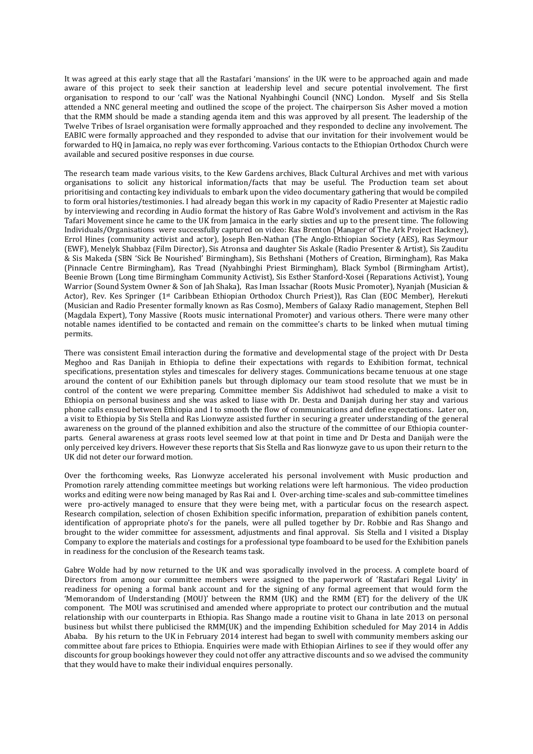It was agreed at this early stage that all the Rastafari 'mansions' in the UK were to be approached again and made aware of this project to seek their sanction at leadership level and secure potential involvement. The first organisation to respond to our 'call' was the National Nyahbinghi Council (NNC) London. Myself and Sis Stella attended a NNC general meeting and outlined the scope of the project. The chairperson Sis Asher moved a motion that the RMM should be made a standing agenda item and this was approved by all present. The leadership of the Twelve Tribes of Israel organisation were formally approached and they responded to decline any involvement. The EABIC were formally approached and they responded to advise that our invitation for their involvement would be forwarded to HQ in Jamaica, no reply was ever forthcoming. Various contacts to the Ethiopian Orthodox Church were available and secured positive responses in due course.

The research team made various visits, to the Kew Gardens archives, Black Cultural Archives and met with various organisations to solicit any historical information/facts that may be useful. The Production team set about prioritising and contacting key individuals to embark upon the video documentary gathering that would be compiled to form oral histories/testimonies. I had already began this work in my capacity of Radio Presenter at Majestic radio by interviewing and recording in Audio format the history of Ras Gabre Wold's involvement and activism in the Ras Tafari Movement since he came to the UK from Jamaica in the early sixties and up to the present time. The following Individuals/Organisations were successfully captured on video: Ras Brenton (Manager of The Ark Project Hackney), Errol Hines (community activist and actor), Joseph Ben-Nathan (The Anglo-Ethiopian Society (AES), Ras Seymour (EWF), Menelyk Shabbaz (Film Director), Sis Atronsa and daughter Sis Askale (Radio Presenter & Artist), Sis Zauditu & Sis Makeda (SBN 'Sick Be Nourished' Birmingham), Sis Bethshani (Mothers of Creation, Birmingham), Ras Maka (Pinnacle Centre Birmingham), Ras Tread (Nyahbinghi Priest Birmingham), Black Symbol (Birmingham Artist), Beenie Brown (Long time Birmingham Community Activist), Sis Esther Stanford-Xosei (Reparations Activist), Young Warrior (Sound System Owner & Son of Jah Shaka), Ras Iman Issachar (Roots Music Promoter), Nyanjah (Musician & Actor), Rev. Kes Springer (1st Caribbean Ethiopian Orthodox Church Priest)), Ras Clan (EOC Member), Herekuti (Musician and Radio Presenter formally known as Ras Cosmo), Members of Galaxy Radio management, Stephen Bell (Magdala Expert), Tony Massive (Roots music international Promoter) and various others. There were many other notable names identified to be contacted and remain on the committee's charts to be linked when mutual timing permits.

There was consistent Email interaction during the formative and developmental stage of the project with Dr Desta Meghoo and Ras Danijah in Ethiopia to define their expectations with regards to Exhibition format, technical specifications, presentation styles and timescales for delivery stages. Communications became tenuous at one stage around the content of our Exhibition panels but through diplomacy our team stood resolute that we must be in control of the content we were preparing. Committee member Sis Addishiwot had scheduled to make a visit to Ethiopia on personal business and she was asked to liase with Dr. Desta and Danijah during her stay and various phone calls ensued between Ethiopia and I to smooth the flow of communications and define expectations. Later on, a visit to Ethiopia by Sis Stella and Ras Lionwyze assisted further in securing a greater understanding of the general awareness on the ground of the planned exhibition and also the structure of the committee of our Ethiopia counterparts. General awareness at grass roots level seemed low at that point in time and Dr Desta and Danijah were the only perceived key drivers. However these reports that Sis Stella and Ras lionwyze gave to us upon their return to the UK did not deter our forward motion.

Over the forthcoming weeks, Ras Lionwyze accelerated his personal involvement with Music production and Promotion rarely attending committee meetings but working relations were left harmonious. The video production works and editing were now being managed by Ras Rai and I. Over-arching time-scales and sub-committee timelines were pro-actively managed to ensure that they were being met, with a particular focus on the research aspect. Research compilation, selection of chosen Exhibition specific information, preparation of exhibition panels content, identification of appropriate photo's for the panels, were all pulled together by Dr. Robbie and Ras Shango and brought to the wider committee for assessment, adjustments and final approval. Sis Stella and I visited a Display Company to explore the materials and costings for a professional type foamboard to be used for the Exhibition panels in readiness for the conclusion of the Research teams task.

Gabre Wolde had by now returned to the UK and was sporadically involved in the process. A complete board of Directors from among our committee members were assigned to the paperwork of 'Rastafari Regal Livity' in readiness for opening a formal bank account and for the signing of any formal agreement that would form the 'Memorandom of Understanding (MOU)' between the RMM (UK) and the RMM (ET) for the delivery of the UK component. The MOU was scrutinised and amended where appropriate to protect our contribution and the mutual relationship with our counterparts in Ethiopia. Ras Shango made a routine visit to Ghana in late 2013 on personal business but whilst there publicised the RMM(UK) and the impending Exhibition scheduled for May 2014 in Addis Ababa. By his return to the UK in February 2014 interest had began to swell with community members asking our committee about fare prices to Ethiopia. Enquiries were made with Ethiopian Airlines to see if they would offer any discounts for group bookings however they could not offer any attractive discounts and so we advised the community that they would have to make their individual enquires personally.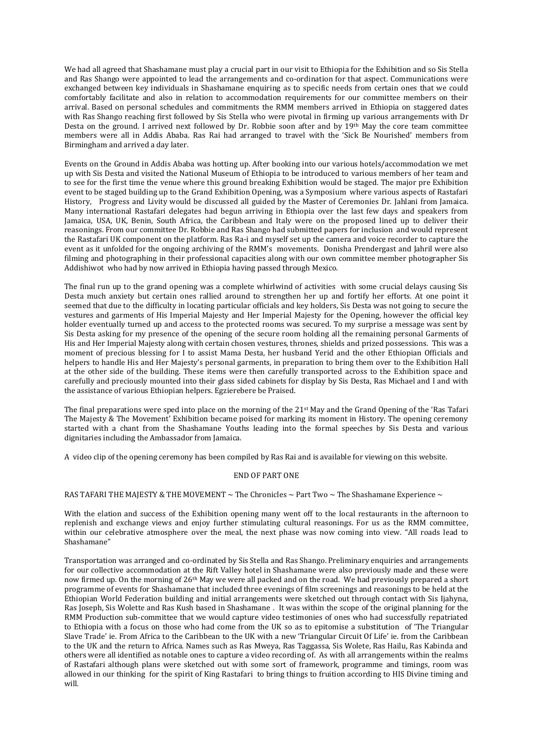We had all agreed that Shashamane must play a crucial part in our visit to Ethiopia for the Exhibition and so Sis Stella and Ras Shango were appointed to lead the arrangements and co-ordination for that aspect. Communications were exchanged between key individuals in Shashamane enquiring as to specific needs from certain ones that we could comfortably facilitate and also in relation to accommodation requirements for our committee members on their arrival. Based on personal schedules and commitments the RMM members arrived in Ethiopia on staggered dates with Ras Shango reaching first followed by Sis Stella who were pivotal in firming up various arrangements with Dr Desta on the ground. I arrived next followed by Dr. Robbie soon after and by 19th May the core team committee members were all in Addis Ababa. Ras Rai had arranged to travel with the 'Sick Be Nourished' members from Birmingham and arrived a day later.

Events on the Ground in Addis Ababa was hotting up. After booking into our various hotels/accommodation we met up with Sis Desta and visited the National Museum of Ethiopia to be introduced to various members of her team and to see for the first time the venue where this ground breaking Exhibition would be staged. The major pre Exhibition event to be staged building up to the Grand Exhibition Opening, was a Symposium where various aspects of Rastafari History, Progress and Livity would be discussed all guided by the Master of Ceremonies Dr. Jahlani from Jamaica. Many international Rastafari delegates had begun arriving in Ethiopia over the last few days and speakers from Jamaica, USA, UK, Benin, South Africa, the Caribbean and Italy were on the proposed lined up to deliver their reasonings. From our committee Dr. Robbie and Ras Shango had submitted papers for inclusion and would represent the Rastafari UK component on the platform. Ras Ra-i and myself set up the camera and voice recorder to capture the event as it unfolded for the ongoing archiving of the RMM's movements. Donisha Prendergast and Jahril were also filming and photographing in their professional capacities along with our own committee member photographer Sis Addishiwot who had by now arrived in Ethiopia having passed through Mexico.

The final run up to the grand opening was a complete whirlwind of activities with some crucial delays causing Sis Desta much anxiety but certain ones rallied around to strengthen her up and fortify her efforts. At one point it seemed that due to the difficulty in locating particular officials and key holders, Sis Desta was not going to secure the vestures and garments of His Imperial Majesty and Her Imperial Majesty for the Opening, however the official key holder eventually turned up and access to the protected rooms was secured. To my surprise a message was sent by Sis Desta asking for my presence of the opening of the secure room holding all the remaining personal Garments of His and Her Imperial Majesty along with certain chosen vestures, thrones, shields and prized possessions. This was a moment of precious blessing for I to assist Mama Desta, her husband Yerid and the other Ethiopian Officials and helpers to handle His and Her Majesty's personal garments, in preparation to bring them over to the Exhibition Hall at the other side of the building. These items were then carefully transported across to the Exhibition space and carefully and preciously mounted into their glass sided cabinets for display by Sis Desta, Ras Michael and I and with the assistance of various Ethiopian helpers. Egzierebere be Praised.

The final preparations were sped into place on the morning of the 21st May and the Grand Opening of the 'Ras Tafari The Majesty & The Movement' Exhibition became poised for marking its moment in History. The opening ceremony started with a chant from the Shashamane Youths leading into the formal speeches by Sis Desta and various dignitaries including the Ambassador from Jamaica.

A video clip of the opening ceremony has been compiled by Ras Rai and is available for viewing on this website.

## END OF PART ONE

## RAS TAFARI THE MAJESTY & THE MOVEMENT  $\sim$  The Chronicles  $\sim$  Part Two  $\sim$  The Shashamane Experience  $\sim$

With the elation and success of the Exhibition opening many went off to the local restaurants in the afternoon to replenish and exchange views and enjoy further stimulating cultural reasonings. For us as the RMM committee, within our celebrative atmosphere over the meal, the next phase was now coming into view. "All roads lead to Shashamane"

Transportation was arranged and co-ordinated by Sis Stella and Ras Shango. Preliminary enquiries and arrangements for our collective accommodation at the Rift Valley hotel in Shashamane were also previously made and these were now firmed up. On the morning of 26th May we were all packed and on the road. We had previously prepared a short programme of events for Shashamane that included three evenings of film screenings and reasonings to be held at the Ethiopian World Federation building and initial arrangements were sketched out through contact with Sis Ijahyna, Ras Joseph, Sis Wolette and Ras Kush based in Shashamane . It was within the scope of the original planning for the RMM Production sub-committee that we would capture video testimonies of ones who had successfully repatriated to Ethiopia with a focus on those who had come from the UK so as to epitomise a substitution of 'The Triangular Slave Trade' ie. From Africa to the Caribbean to the UK with a new 'Triangular Circuit Of Life' ie. from the Caribbean to the UK and the return to Africa. Names such as Ras Mweya, Ras Taggassa, Sis Wolete, Ras Hailu, Ras Kabinda and others were all identified as notable ones to capture a video recording of. As with all arrangements within the realms of Rastafari although plans were sketched out with some sort of framework, programme and timings, room was allowed in our thinking for the spirit of King Rastafari to bring things to fruition according to HIS Divine timing and will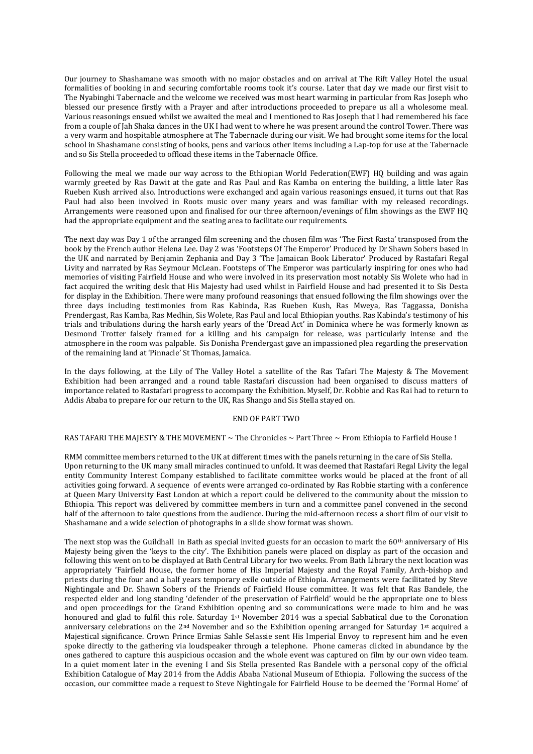Our journey to Shashamane was smooth with no major obstacles and on arrival at The Rift Valley Hotel the usual formalities of booking in and securing comfortable rooms took it's course. Later that day we made our first visit to The Nyabinghi Tabernacle and the welcome we received was most heart warming in particular from Ras Joseph who blessed our presence firstly with a Prayer and after introductions proceeded to prepare us all a wholesome meal. Various reasonings ensued whilst we awaited the meal and I mentioned to Ras Joseph that I had remembered his face from a couple of Jah Shaka dances in the UK I had went to where he was present around the control Tower. There was a very warm and hospitable atmosphere at The Tabernacle during our visit. We had brought some items for the local school in Shashamane consisting of books, pens and various other items including a Lap-top for use at the Tabernacle and so Sis Stella proceeded to offload these items in the Tabernacle Office.

Following the meal we made our way across to the Ethiopian World Federation(EWF) HQ building and was again warmly greeted by Ras Dawit at the gate and Ras Paul and Ras Kamba on entering the building, a little later Ras Rueben Kush arrived also. Introductions were exchanged and again various reasonings ensued, it turns out that Ras Paul had also been involved in Roots music over many years and was familiar with my released recordings. Arrangements were reasoned upon and finalised for our three afternoon/evenings of film showings as the EWF HQ had the appropriate equipment and the seating area to facilitate our requirements.

The next day was Day 1 of the arranged film screening and the chosen film was 'The First Rasta' transposed from the book by the French author Helena Lee. Day 2 was 'Footsteps Of The Emperor' Produced by Dr Shawn Sobers based in the UK and narrated by Benjamin Zephania and Day 3 'The Jamaican Book Liberator' Produced by Rastafari Regal Livity and narrated by Ras Seymour McLean. Footsteps of The Emperor was particularly inspiring for ones who had memories of visiting Fairfield House and who were involved in its preservation most notably Sis Wolete who had in fact acquired the writing desk that His Majesty had used whilst in Fairfield House and had presented it to Sis Desta for display in the Exhibition. There were many profound reasonings that ensued following the film showings over the three days including testimonies from Ras Kabinda, Ras Rueben Kush, Ras Mweya, Ras Taggassa, Donisha Prendergast, Ras Kamba, Ras Medhin, Sis Wolete, Ras Paul and local Ethiopian youths. Ras Kabinda's testimony of his trials and tribulations during the harsh early years of the 'Dread Act' in Dominica where he was formerly known as Desmond Trotter falsely framed for a killing and his campaign for release, was particularly intense and the atmosphere in the room was palpable. Sis Donisha Prendergast gave an impassioned plea regarding the preservation of the remaining land at 'Pinnacle' St Thomas, Jamaica.

In the days following, at the Lily of The Valley Hotel a satellite of the Ras Tafari The Majesty & The Movement Exhibition had been arranged and a round table Rastafari discussion had been organised to discuss matters of importance related to Rastafari progress to accompany the Exhibition. Myself, Dr. Robbie and Ras Rai had to return to Addis Ababa to prepare for our return to the UK, Ras Shango and Sis Stella stayed on.

### END OF PART TWO

# RAS TAFARI THE MAJESTY & THE MOVEMENT ~ The Chronicles ~ Part Three ~ From Ethiopia to Farfield House !

RMM committee members returned to the UK at different times with the panels returning in the care of Sis Stella. Upon returning to the UK many small miracles continued to unfold. It was deemed that Rastafari Regal Livity the legal entity Community Interest Company established to facilitate committee works would be placed at the front of all activities going forward. A sequence of events were arranged co-ordinated by Ras Robbie starting with a conference at Queen Mary University East London at which a report could be delivered to the community about the mission to Ethiopia. This report was delivered by committee members in turn and a committee panel convened in the second half of the afternoon to take questions from the audience. During the mid-afternoon recess a short film of our visit to Shashamane and a wide selection of photographs in a slide show format was shown.

The next stop was the Guildhall in Bath as special invited guests for an occasion to mark the  $60<sup>th</sup>$  anniversary of His Majesty being given the 'keys to the city'. The Exhibition panels were placed on display as part of the occasion and following this went on to be displayed at Bath Central Library for two weeks. From Bath Library the next location was appropriately 'Fairfield House, the former home of His Imperial Majesty and the Royal Family, Arch-bishop and priests during the four and a half years temporary exile outside of Ethiopia. Arrangements were facilitated by Steve Nightingale and Dr. Shawn Sobers of the Friends of Fairfield House committee. It was felt that Ras Bandele, the respected elder and long standing 'defender of the preservation of Fairfield' would be the appropriate one to bless and open proceedings for the Grand Exhibition opening and so communications were made to him and he was honoured and glad to fulfil this role. Saturday 1st November 2014 was a special Sabbatical due to the Coronation anniversary celebrations on the 2nd November and so the Exhibition opening arranged for Saturday 1st acquired a Majestical significance. Crown Prince Ermias Sahle Selassie sent His Imperial Envoy to represent him and he even spoke directly to the gathering via loudspeaker through a telephone. Phone cameras clicked in abundance by the ones gathered to capture this auspicious occasion and the whole event was captured on film by our own video team. In a quiet moment later in the evening I and Sis Stella presented Ras Bandele with a personal copy of the official Exhibition Catalogue of May 2014 from the Addis Ababa National Museum of Ethiopia. Following the success of the occasion, our committee made a request to Steve Nightingale for Fairfield House to be deemed the 'Formal Home' of